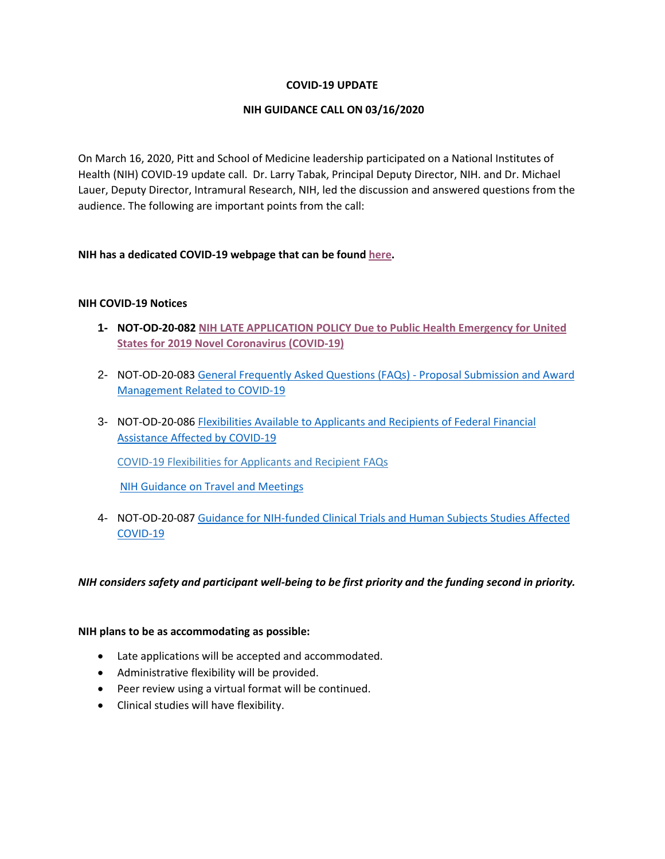### **COVID-19 UPDATE**

### **NIH GUIDANCE CALL ON 03/16/2020**

On March 16, 2020, Pitt and School of Medicine leadership participated on a National Institutes of Health (NIH) COVID-19 update call. Dr. Larry Tabak, Principal Deputy Director, NIH. and Dr. Michael Lauer, Deputy Director, Intramural Research, NIH, led the discussion and answered questions from the audience. The following are important points from the call:

### **NIH has a dedicated COVID-19 webpage that can be found [here.](https://grants.nih.gov/grants/oer.htm)**

### **NIH COVID-19 Notices**

- **1- NOT-OD-20-082 [NIH LATE APPLICATION POLICY Due to Public Health Emergency for United](https://grants.nih.gov/grants/guide/notice-files/NOT-OD-20-082.html)  [States for 2019 Novel Coronavirus \(COVID-19\)](https://grants.nih.gov/grants/guide/notice-files/NOT-OD-20-082.html)**
- 2- NOT-OD-20-083 [General Frequently Asked Questions \(FAQs\) -](https://grants.nih.gov/grants/guide/notice-files/NOT-OD-20-083.html) Proposal Submission and Award [Management Related to COVID-19](https://grants.nih.gov/grants/guide/notice-files/NOT-OD-20-083.html)
- 3- NOT-OD-20-086 [Flexibilities Available to Applicants and Recipients of Federal Financial](https://grants.nih.gov/grants/guide/notice-files/NOT-OD-20-086.html)  [Assistance Affected by COVID-19](https://grants.nih.gov/grants/guide/notice-files/NOT-OD-20-086.html)

[COVID-19 Flexibilities for Applicants and Recipient FAQs](https://grants.nih.gov/faqs#/covid-19.htm)

[NIH Guidance on Travel and Meetings](https://www.nih.gov/health-information/nih-guidance-travel-meetings)

4- NOT-OD-20-087 [Guidance for NIH-funded Clinical Trials and Human Subjects Studies](https://grants.nih.gov/grants/guide/notice-files/NOT-OD-20-087.html) Affected [COVID-19](https://grants.nih.gov/grants/guide/notice-files/NOT-OD-20-087.html)

*NIH considers safety and participant well-being to be first priority and the funding second in priority.*

#### **NIH plans to be as accommodating as possible:**

- Late applications will be accepted and accommodated.
- Administrative flexibility will be provided.
- Peer review using a virtual format will be continued.
- Clinical studies will have flexibility.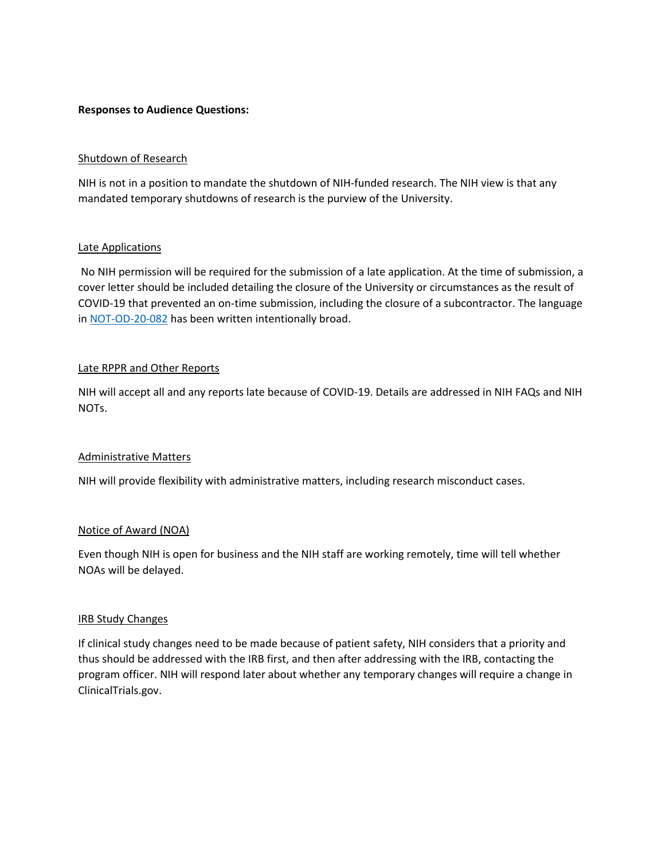### **Responses to Audience Questions:**

### Shutdown of Research

NIH is not in a position to mandate the shutdown of NIH-funded research. The NIH view is that any mandated temporary shutdowns of research is the purview of the University.

### Late Applications

No NIH permission will be required for the submission of a late application. At the time of submission, a cover letter should be included detailing the closure of the University or circumstances as the result of COVID-19 that prevented an on-time submission, including the closure of a subcontractor. The language in [NOT-OD-20-082](https://grants.nih.gov/grants/guide/notice-files/NOT-OD-20-082.html) has been written intentionally broad.

### Late RPPR and Other Reports

NIH will accept all and any reports late because of COVID-19. Details are addressed in NIH FAQs and NIH NOTs.

### Administrative Matters

NIH will provide flexibility with administrative matters, including research misconduct cases.

### Notice of Award (NOA)

Even though NIH is open for business and the NIH staff are working remotely, time will tell whether NOAs will be delayed.

### IRB Study Changes

If clinical study changes need to be made because of patient safety, NIH considers that a priority and thus should be addressed with the IRB first, and then after addressing with the IRB, contacting the program officer. NIH will respond later about whether any temporary changes will require a change in ClinicalTrials.gov.